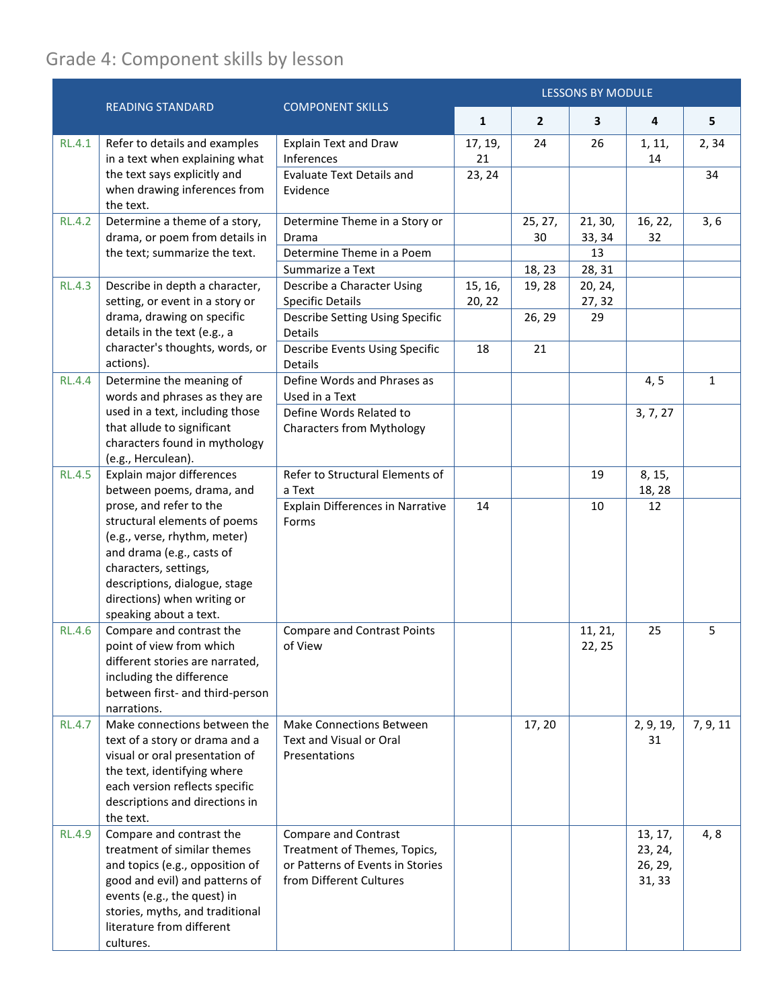## Grade 4: Component skills by lesson

|               |                                                                                                                                                                                                                                          |                                                                                                                     |                   |                |                         | <b>LESSONS BY MODULE</b>                |              |  |  |
|---------------|------------------------------------------------------------------------------------------------------------------------------------------------------------------------------------------------------------------------------------------|---------------------------------------------------------------------------------------------------------------------|-------------------|----------------|-------------------------|-----------------------------------------|--------------|--|--|
|               | <b>READING STANDARD</b>                                                                                                                                                                                                                  | <b>COMPONENT SKILLS</b>                                                                                             | $\mathbf{1}$      | $\overline{2}$ | 3                       | 4                                       | 5            |  |  |
| <b>RL.4.1</b> | Refer to details and examples<br>in a text when explaining what                                                                                                                                                                          | <b>Explain Text and Draw</b><br>Inferences                                                                          | 17, 19,<br>21     | 24             | 26                      | 1, 11,<br>14                            | 2,34         |  |  |
|               | the text says explicitly and<br>when drawing inferences from<br>the text.                                                                                                                                                                | <b>Evaluate Text Details and</b><br>Evidence                                                                        | 23, 24            |                |                         |                                         | 34           |  |  |
| <b>RL.4.2</b> | Determine a theme of a story,<br>drama, or poem from details in<br>the text; summarize the text.                                                                                                                                         | Determine Theme in a Story or<br>Drama<br>Determine Theme in a Poem                                                 |                   | 25, 27,<br>30  | 21, 30,<br>33, 34<br>13 | 16, 22,<br>32                           | 3, 6         |  |  |
|               |                                                                                                                                                                                                                                          | Summarize a Text                                                                                                    |                   | 18, 23         | 28, 31                  |                                         |              |  |  |
| <b>RL.4.3</b> | Describe in depth a character,<br>setting, or event in a story or<br>drama, drawing on specific<br>details in the text (e.g., a<br>character's thoughts, words, or<br>actions).                                                          | Describe a Character Using<br><b>Specific Details</b>                                                               | 15, 16,<br>20, 22 | 19, 28         | 20, 24,<br>27, 32       |                                         |              |  |  |
|               |                                                                                                                                                                                                                                          | Describe Setting Using Specific<br>Details                                                                          |                   | 26, 29         | 29                      |                                         |              |  |  |
|               |                                                                                                                                                                                                                                          | Describe Events Using Specific<br>Details                                                                           | 18                | 21             |                         |                                         |              |  |  |
| <b>RL.4.4</b> | Determine the meaning of<br>words and phrases as they are<br>used in a text, including those<br>that allude to significant<br>characters found in mythology<br>(e.g., Herculean).                                                        | Define Words and Phrases as<br>Used in a Text                                                                       |                   |                |                         | 4, 5                                    | $\mathbf{1}$ |  |  |
|               |                                                                                                                                                                                                                                          | Define Words Related to<br><b>Characters from Mythology</b>                                                         |                   |                |                         | 3, 7, 27                                |              |  |  |
| <b>RL.4.5</b> | Explain major differences<br>between poems, drama, and                                                                                                                                                                                   | Refer to Structural Elements of<br>a Text                                                                           |                   |                | 19                      | 8, 15,<br>18, 28                        |              |  |  |
|               | prose, and refer to the<br>structural elements of poems<br>(e.g., verse, rhythm, meter)<br>and drama (e.g., casts of<br>characters, settings,<br>descriptions, dialogue, stage<br>directions) when writing or<br>speaking about a text.  | Explain Differences in Narrative<br>Forms                                                                           | 14                |                | 10                      | 12                                      |              |  |  |
| <b>RL.4.6</b> | Compare and contrast the<br>point of view from which<br>different stories are narrated,<br>including the difference<br>between first- and third-person<br>narrations.                                                                    | <b>Compare and Contrast Points</b><br>of View                                                                       |                   |                | 11, 21,<br>22, 25       | 25                                      | 5            |  |  |
| <b>RL.4.7</b> | Make connections between the<br>text of a story or drama and a<br>visual or oral presentation of<br>the text, identifying where<br>each version reflects specific<br>descriptions and directions in<br>the text.                         | <b>Make Connections Between</b><br>Text and Visual or Oral<br>Presentations                                         |                   | 17, 20         |                         | 2, 9, 19,<br>31                         | 7, 9, 11     |  |  |
| <b>RL.4.9</b> | Compare and contrast the<br>treatment of similar themes<br>and topics (e.g., opposition of<br>good and evil) and patterns of<br>events (e.g., the quest) in<br>stories, myths, and traditional<br>literature from different<br>cultures. | Compare and Contrast<br>Treatment of Themes, Topics,<br>or Patterns of Events in Stories<br>from Different Cultures |                   |                |                         | 13, 17,<br>23, 24,<br>26, 29,<br>31, 33 | 4, 8         |  |  |